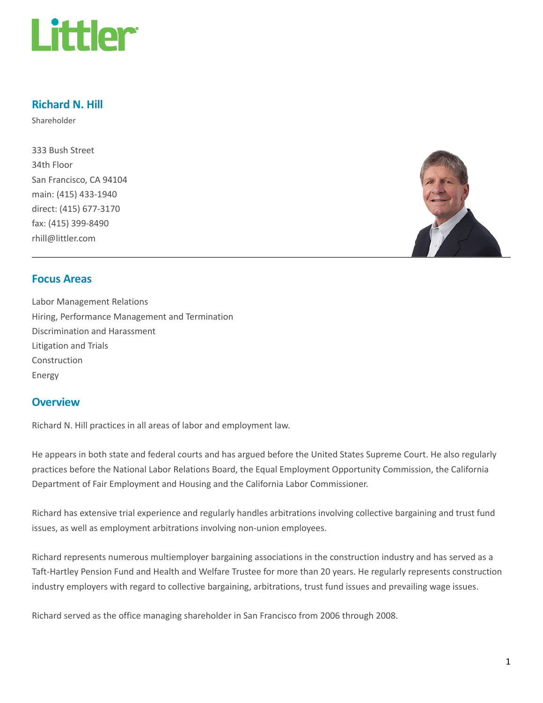

## Richard N. Hill

Shareholder

333 Bush Street 34th Floor San Francisco, CA 94104 main: (415) 433-1940 direct: (415) 677-3170 fax: (415) 399-8490 rhill@littler.com



## Focus Areas

Labor Management Relations Hiring, Performance Management and Termination Discrimination and Harassment Litigation and Trials Construction Energy

#### **Overview**

Richard N. Hill practices in all areas of labor and employment law.

He appears in both state and federal courts and has argued before the United States Supreme Court. He also regularly practices before the National Labor Relations Board, the Equal Employment Opportunity Commission, the California Department of Fair Employment and Housing and the California Labor Commissioner.

Richard has extensive trial experience and regularly handles arbitrations involving collective bargaining and trust fund issues, as well as employment arbitrations involving non-union employees.

Richard represents numerous multiemployer bargaining associations in the construction industry and has served as a Taft-Hartley Pension Fund and Health and Welfare Trustee for more than 20 years. He regularly represents construction industry employers with regard to collective bargaining, arbitrations, trust fund issues and prevailing wage issues.

Richard served as the office managing shareholder in San Francisco from 2006 through 2008.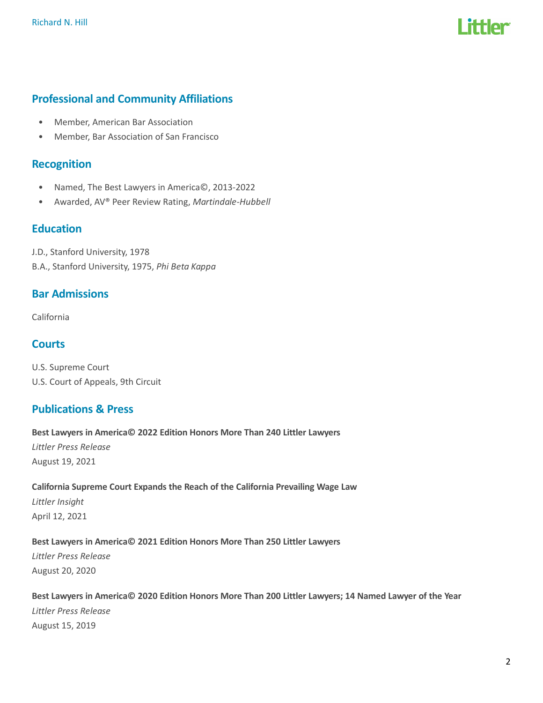

# Professional and Community Affiliations

- Member, American Bar Association
- Member, Bar Association of San Francisco

## **Recognition**

- Named, The Best Lawyers in America©, 2013-2022
- Awarded, AV® Peer Review Rating, Martindale-Hubbell

## **Education**

J.D., Stanford University, 1978 B.A., Stanford University, 1975, Phi Beta Kappa

## Bar Admissions

California

## **Courts**

U.S. Supreme Court U.S. Court of Appeals, 9th Circuit

## Publications & Press

Best Lawyers in America© 2022 Edition Honors More Than 240 Littler Lawyers Littler Press Release August 19, 2021

California Supreme Court Expands the Reach of the California Prevailing Wage Law Littler Insight

April 12, 2021

#### Best Lawyers in America© 2021 Edition Honors More Than 250 Littler Lawyers

Littler Press Release August 20, 2020

## Best Lawyers in America© 2020 Edition Honors More Than 200 Littler Lawyers; 14 Named Lawyer of the Year Littler Press Release August 15, 2019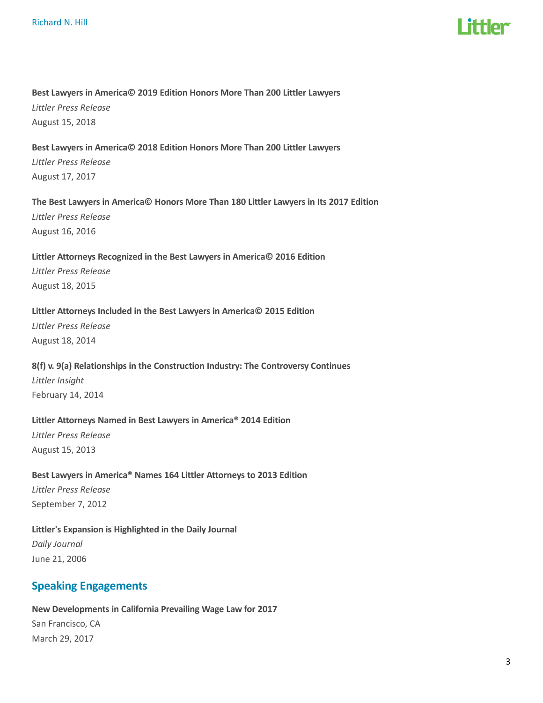# I ittlar

#### Best Lawyers in America© 2019 Edition Honors More Than 200 Littler Lawyers

Littler Press Release August 15, 2018

## Best Lawyers in America© 2018 Edition Honors More Than 200 Littler Lawyers Littler Press Release

August 17, 2017

#### The Best Lawyers in America© Honors More Than 180 Littler Lawyers in Its 2017 Edition

Littler Press Release August 16, 2016

## Littler Attorneys Recognized in the Best Lawyers in America© 2016 Edition Littler Press Release

August 18, 2015

#### Littler Attorneys Included in the Best Lawyers in America© 2015 Edition

Littler Press Release August 18, 2014

## 8(f) v. 9(a) Relationships in the Construction Industry: The Controversy Continues Littler Insight

February 14, 2014

#### Littler Attorneys Named in Best Lawyers in America® 2014 Edition

Littler Press Release August 15, 2013

# Best Lawyers in America® Names 164 Littler Attorneys to 2013 Edition

Littler Press Release September 7, 2012

## Littler's Expansion is Highlighted in the Daily Journal Daily Journal

June 21, 2006

# Speaking Engagements

# New Developments in California Prevailing Wage Law for 2017 San Francisco, CA

March 29, 2017